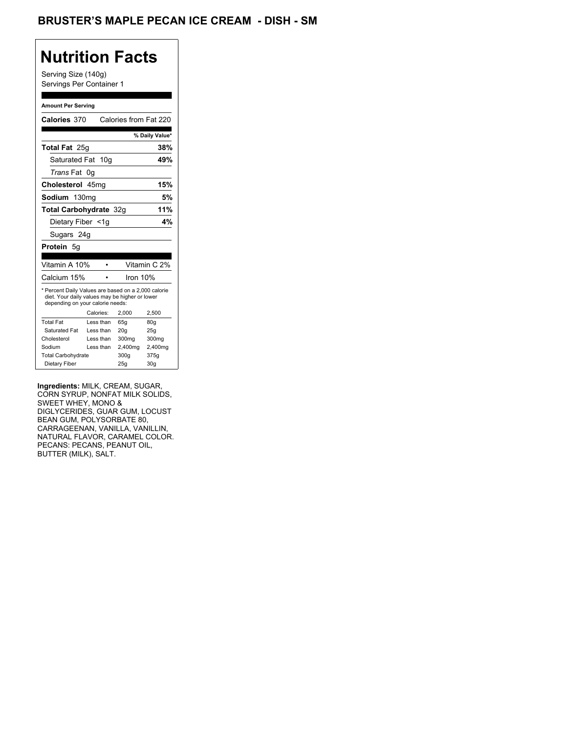## **Nutrition Facts**

Serving Size (140g) Servings Per Container 1

#### **Amount Per Serving**

| Calories 370                                                                                                                              |    |           | Calories from Fat 220 |                 |
|-------------------------------------------------------------------------------------------------------------------------------------------|----|-----------|-----------------------|-----------------|
|                                                                                                                                           |    |           |                       | % Daily Value*  |
| Total Fat 25g                                                                                                                             |    |           |                       | 38%             |
| Saturated Fat                                                                                                                             |    | 10q       |                       | 49%             |
| <i>Trans</i> Fat                                                                                                                          | 0g |           |                       |                 |
| Cholesterol 45mg                                                                                                                          |    |           |                       | 15%             |
| Sodium 130mg                                                                                                                              |    |           |                       | 5%              |
| Total Carbohydrate 32g                                                                                                                    |    |           |                       | 11%             |
| Dietary Fiber <1q                                                                                                                         |    |           |                       | 4%              |
| Sugars 24g                                                                                                                                |    |           |                       |                 |
| Protein 5g                                                                                                                                |    |           |                       |                 |
|                                                                                                                                           |    |           |                       |                 |
| Vitamin A 10%                                                                                                                             |    |           |                       | Vitamin C 2%    |
| Calcium 15%                                                                                                                               |    |           | Iron 10%              |                 |
| * Percent Daily Values are based on a 2,000 calorie<br>diet. Your daily values may be higher or lower<br>depending on your calorie needs: |    |           |                       |                 |
|                                                                                                                                           |    | Calories: | 2,000                 | 2,500           |
| <b>Total Fat</b>                                                                                                                          |    | Less than | 65q                   | 80q             |
| Saturated Fat                                                                                                                             |    | Less than | 20 <sub>g</sub>       | 25g             |
| Cholesterol                                                                                                                               |    | Less than | 300mg                 | 300mg           |
| Sodium                                                                                                                                    |    | Less than | 2,400mg               | 2,400mg         |
| <b>Total Carbohydrate</b>                                                                                                                 |    |           | 300g                  | 375g            |
| Dietary Fiber                                                                                                                             |    |           | 25q                   | 30 <sub>q</sub> |

**Ingredients:** MILK, CREAM, SUGAR, CORN SYRUP, NONFAT MILK SOLIDS, SWEET WHEY, MONO & DIGLYCERIDES, GUAR GUM, LOCUST BEAN GUM, POLYSORBATE 80, CARRAGEENAN, VANILLA, VANILLIN, NATURAL FLAVOR, CARAMEL COLOR. PECANS: PECANS, PEANUT OIL, BUTTER (MILK), SALT.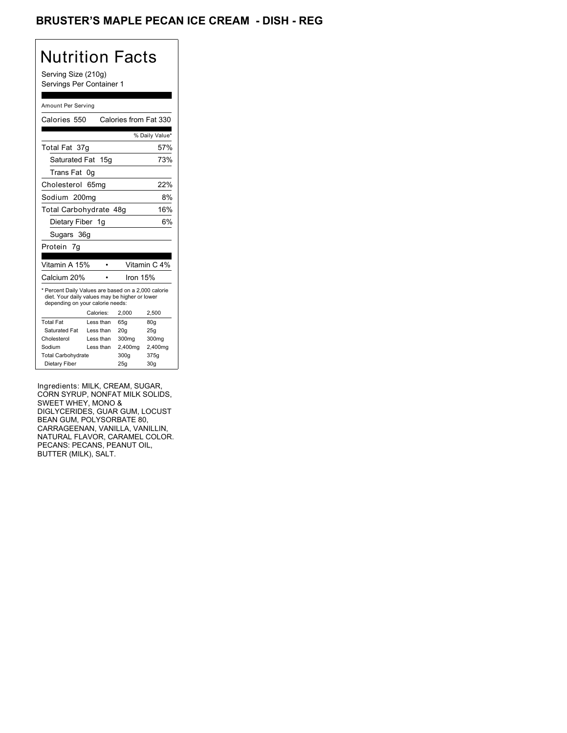### BRUSTER'S MAPLE PECAN ICE CREAM - DISH - REG

# Nutrition Facts

Serving Size (210g) Servings Per Container 1

#### Amount Per Serving

| Calories 550                                                                                                                              |           | Calories from Fat 330 |                 |
|-------------------------------------------------------------------------------------------------------------------------------------------|-----------|-----------------------|-----------------|
|                                                                                                                                           |           |                       | % Daily Value*  |
| Total Fat 37g                                                                                                                             |           |                       | 57%             |
| Saturated Fat 15g                                                                                                                         |           |                       | 73%             |
| <b>Trans Fat</b>                                                                                                                          | 0g        |                       |                 |
| Cholesterol 65mg                                                                                                                          |           |                       | 22%             |
| Sodium 200mg                                                                                                                              |           |                       | 8%              |
| Total Carbohydrate 48g                                                                                                                    |           |                       | 16%             |
| Dietary Fiber 1g                                                                                                                          |           |                       | 6%              |
| Sugars 36g                                                                                                                                |           |                       |                 |
| Protein 7g                                                                                                                                |           |                       |                 |
| Vitamin A 15%                                                                                                                             |           |                       | Vitamin C 4%    |
|                                                                                                                                           |           |                       |                 |
| Calcium 20%                                                                                                                               |           | Iron 15%              |                 |
| * Percent Daily Values are based on a 2,000 calorie<br>diet. Your daily values may be higher or lower<br>depending on your calorie needs: |           |                       |                 |
|                                                                                                                                           | Calories: | 2.000                 | 2,500           |
| <b>Total Fat</b>                                                                                                                          | Less than | 65q                   | 80q             |
| Saturated Fat                                                                                                                             | Less than | 20 <sub>g</sub>       | 25g             |
| Cholesterol                                                                                                                               | Less than | 300mg                 | 300mg           |
| Sodium                                                                                                                                    | Less than | 2,400mg               | 2,400mg         |
| <b>Total Carbohydrate</b>                                                                                                                 |           | 300q                  | 375g            |
| Dietary Fiber                                                                                                                             |           | 25q                   | 30 <sub>q</sub> |

Ingredients: MILK, CREAM, SUGAR, CORN SYRUP, NONFAT MILK SOLIDS, SWEET WHEY, MONO & DIGLYCERIDES, GUAR GUM, LOCUST BEAN GUM, POLYSORBATE 80, CARRAGEENAN, VANILLA, VANILLIN, NATURAL FLAVOR, CARAMEL COLOR. PECANS: PECANS, PEANUT OIL, BUTTER (MILK), SALT.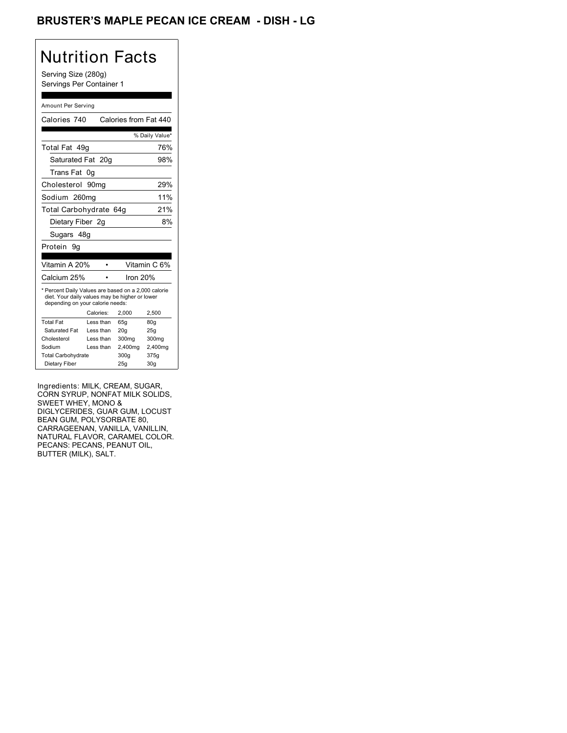### BRUSTER'S MAPLE PECAN ICE CREAM - DISH - LG

# Nutrition Facts

Serving Size (280g) Servings Per Container 1

#### Amount Per Serving

| Calories 740                                                                                                                              |           | Calories from Fat 440 |                 |
|-------------------------------------------------------------------------------------------------------------------------------------------|-----------|-----------------------|-----------------|
|                                                                                                                                           |           |                       | % Daily Value*  |
| Total Fat 49q                                                                                                                             |           |                       | 76%             |
| Saturated Fat 20g                                                                                                                         |           |                       | 98%             |
| Trans Fat                                                                                                                                 | 0g        |                       |                 |
| Cholesterol 90mg                                                                                                                          |           |                       | 29%             |
| Sodium 260mg                                                                                                                              |           |                       | 11%             |
| Total Carbohydrate 64g                                                                                                                    |           |                       | 21%             |
| Dietary Fiber 2q                                                                                                                          |           |                       | 8%              |
| Sugars 48g                                                                                                                                |           |                       |                 |
| Protein<br>9g                                                                                                                             |           |                       |                 |
|                                                                                                                                           |           |                       |                 |
| Vitamin A 20%                                                                                                                             |           |                       | Vitamin C 6%    |
| Calcium 25%                                                                                                                               |           | Iron 20%              |                 |
| * Percent Daily Values are based on a 2,000 calorie<br>diet. Your daily values may be higher or lower<br>depending on your calorie needs: |           |                       |                 |
|                                                                                                                                           | Calories: | 2,000                 | 2,500           |
| <b>Total Fat</b>                                                                                                                          | Less than | 65q                   | 80q             |
| <b>Saturated Fat</b>                                                                                                                      | Less than | 20 <sub>g</sub>       | 25g             |
| Cholesterol                                                                                                                               | Less than | 300 <sub>mq</sub>     | 300mg           |
| Sodium                                                                                                                                    | Less than | 2,400mg               | 2,400mg         |
| <b>Total Carbohydrate</b>                                                                                                                 |           | 300q                  | 375g            |
| Dietary Fiber                                                                                                                             |           | 25q                   | 30 <sub>q</sub> |

Ingredients: MILK, CREAM, SUGAR, CORN SYRUP, NONFAT MILK SOLIDS, SWEET WHEY, MONO & DIGLYCERIDES, GUAR GUM, LOCUST BEAN GUM, POLYSORBATE 80, CARRAGEENAN, VANILLA, VANILLIN, NATURAL FLAVOR, CARAMEL COLOR. PECANS: PECANS, PEANUT OIL, BUTTER (MILK), SALT.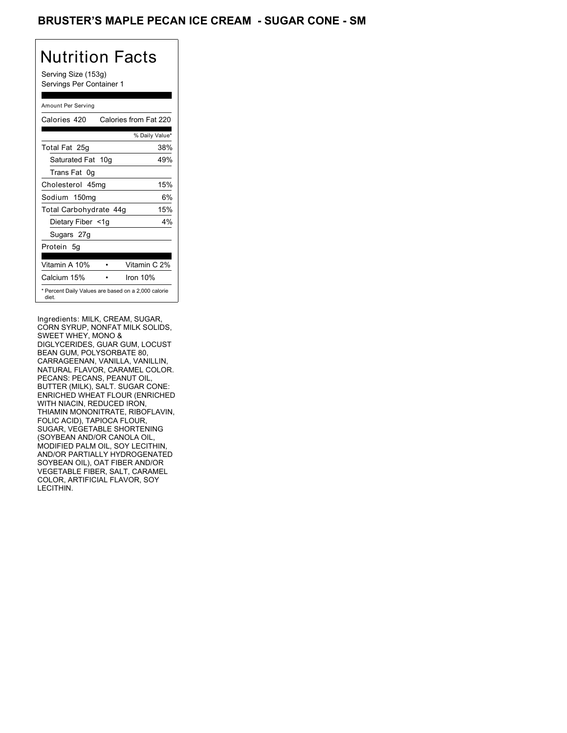### BRUSTER'S MAPLE PECAN ICE CREAM - SUGAR CONE - SM

# Nutrition Facts

Serving Size (153g) Servings Per Container 1

#### Amount Per Serving

| Calories 420                                                 | Calories from Fat 220 |
|--------------------------------------------------------------|-----------------------|
|                                                              | % Daily Value*        |
| Total Fat 25g                                                | 38%                   |
| Saturated Fat 10g                                            | 49%                   |
| Trans Fat 0q                                                 |                       |
| Cholesterol 45mg                                             | 15%                   |
| Sodium 150mg                                                 | 6%                    |
| Total Carbohydrate 44g                                       | 15%                   |
| Dietary Fiber <1g                                            | 4%                    |
| Sugars 27g                                                   |                       |
| Protein 5q                                                   |                       |
| Vitamin A 10%                                                | Vitamin C 2%          |
| Calcium 15%                                                  | Iron 10%              |
| * Percent Daily Values are based on a 2,000 calorie<br>diet. |                       |

Ingredients: MILK, CREAM, SUGAR, CORN SYRUP, NONFAT MILK SOLIDS, SWEET WHEY, MONO & DIGLYCERIDES, GUAR GUM, LOCUST BEAN GUM, POLYSORBATE 80, CARRAGEENAN, VANILLA, VANILLIN, NATURAL FLAVOR, CARAMEL COLOR. PECANS: PECANS, PEANUT OIL, BUTTER (MILK), SALT. SUGAR CONE: ENRICHED WHEAT FLOUR (ENRICHED WITH NIACIN, REDUCED IRON, THIAMIN MONONITRATE, RIBOFLAVIN, FOLIC ACID), TAPIOCA FLOUR, SUGAR, VEGETABLE SHORTENING (SOYBEAN AND/OR CANOLA OIL, MODIFIED PALM OIL, SOY LECITHIN, AND/OR PARTIALLY HYDROGENATED SOYBEAN OIL), OAT FIBER AND/OR VEGETABLE FIBER, SALT, CARAMEL COLOR, ARTIFICIAL FLAVOR, SOY LECITHIN.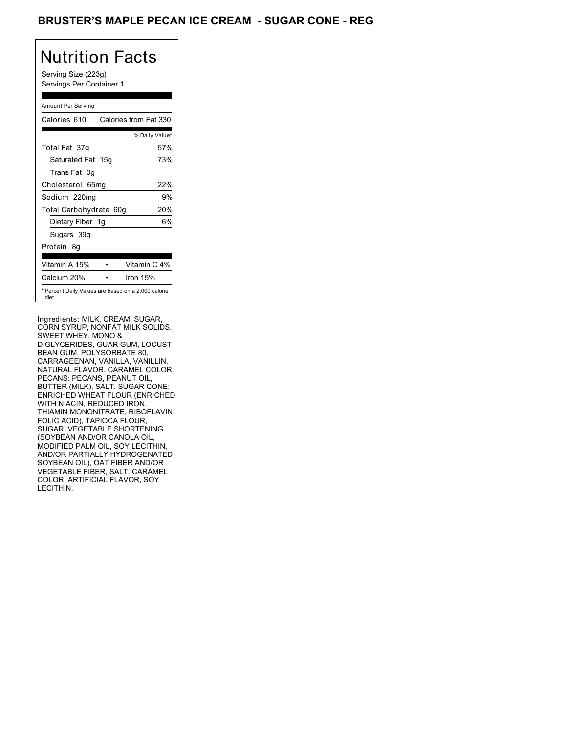### BRUSTER'S MAPLE PECAN ICE CREAM - SUGAR CONE - REG

## Nutrition Facts

Serving Size (223g) Servings Per Container 1

#### Amount Per Serving

| Calories 610                                                 | Calories from Fat 330 |
|--------------------------------------------------------------|-----------------------|
|                                                              | % Daily Value*        |
| Total Fat 37g                                                | 57%                   |
| Saturated Fat 15g                                            | 73%                   |
| Trans Fat 0q                                                 |                       |
| Cholesterol 65mg                                             | 22%                   |
| Sodium 220mg                                                 | 9%                    |
| Total Carbohydrate 60g                                       | 20%                   |
| Dietary Fiber 1g                                             | 6%                    |
| Sugars 39g                                                   |                       |
| Protein 8q                                                   |                       |
| Vitamin A 15%                                                | Vitamin C 4%          |
| Calcium 20%                                                  | Iron $15%$            |
| * Percent Daily Values are based on a 2,000 calorie<br>diet. |                       |

Ingredients: MILK, CREAM, SUGAR, CORN SYRUP, NONFAT MILK SOLIDS, SWEET WHEY, MONO & DIGLYCERIDES, GUAR GUM, LOCUST BEAN GUM, POLYSORBATE 80, CARRAGEENAN, VANILLA, VANILLIN, NATURAL FLAVOR, CARAMEL COLOR. PECANS: PECANS, PEANUT OIL, BUTTER (MILK), SALT. SUGAR CONE: ENRICHED WHEAT FLOUR (ENRICHED WITH NIACIN, REDUCED IRON, THIAMIN MONONITRATE, RIBOFLAVIN, FOLIC ACID), TAPIOCA FLOUR, SUGAR, VEGETABLE SHORTENING (SOYBEAN AND/OR CANOLA OIL, MODIFIED PALM OIL, SOY LECITHIN, AND/OR PARTIALLY HYDROGENATED SOYBEAN OIL), OAT FIBER AND/OR VEGETABLE FIBER, SALT, CARAMEL COLOR, ARTIFICIAL FLAVOR, SOY LECITHIN.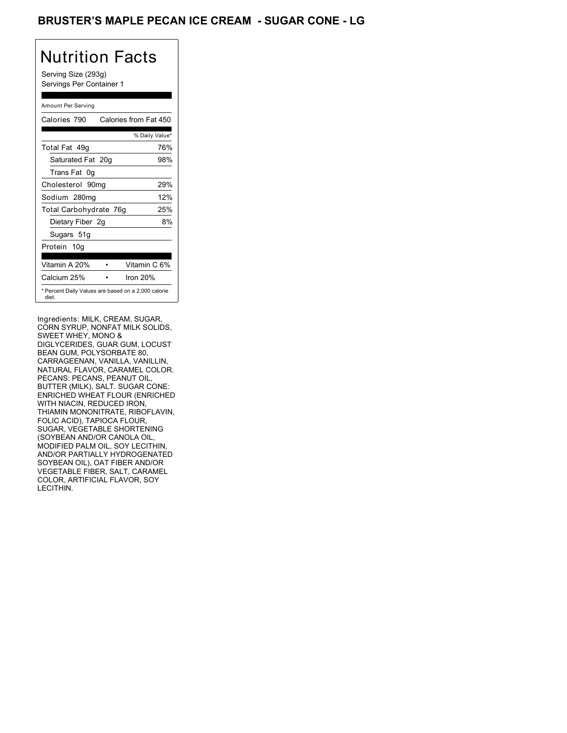### BRUSTER'S MAPLE PECAN ICE CREAM - SUGAR CONE - LG

## Nutrition Facts

Serving Size (293g) Servings Per Container 1

#### Amount Per Serving

| Calories 790                                                 | Calories from Fat 450 |
|--------------------------------------------------------------|-----------------------|
|                                                              | % Daily Value*        |
| Total Fat 49q                                                | 76%                   |
| Saturated Fat 20g                                            | 98%                   |
| Trans Fat 0q                                                 |                       |
| Cholesterol 90mg                                             | 29%                   |
| Sodium 280mg                                                 | 12%                   |
| Total Carbohydrate 76g                                       | 25%                   |
| Dietary Fiber 2g                                             | 8%                    |
| Sugars 51g                                                   |                       |
| Protein 10g                                                  |                       |
| Vitamin A 20%                                                | Vitamin C 6%          |
| Calcium 25%                                                  | Iron $20%$            |
| * Percent Daily Values are based on a 2,000 calorie<br>diet. |                       |

Ingredients: MILK, CREAM, SUGAR, CORN SYRUP, NONFAT MILK SOLIDS, SWEET WHEY, MONO & DIGLYCERIDES, GUAR GUM, LOCUST BEAN GUM, POLYSORBATE 80, CARRAGEENAN, VANILLA, VANILLIN, NATURAL FLAVOR, CARAMEL COLOR. PECANS: PECANS, PEANUT OIL, BUTTER (MILK), SALT. SUGAR CONE: ENRICHED WHEAT FLOUR (ENRICHED WITH NIACIN, REDUCED IRON, THIAMIN MONONITRATE, RIBOFLAVIN, FOLIC ACID), TAPIOCA FLOUR, SUGAR, VEGETABLE SHORTENING (SOYBEAN AND/OR CANOLA OIL, MODIFIED PALM OIL, SOY LECITHIN, AND/OR PARTIALLY HYDROGENATED SOYBEAN OIL), OAT FIBER AND/OR VEGETABLE FIBER, SALT, CARAMEL COLOR, ARTIFICIAL FLAVOR, SOY LECITHIN.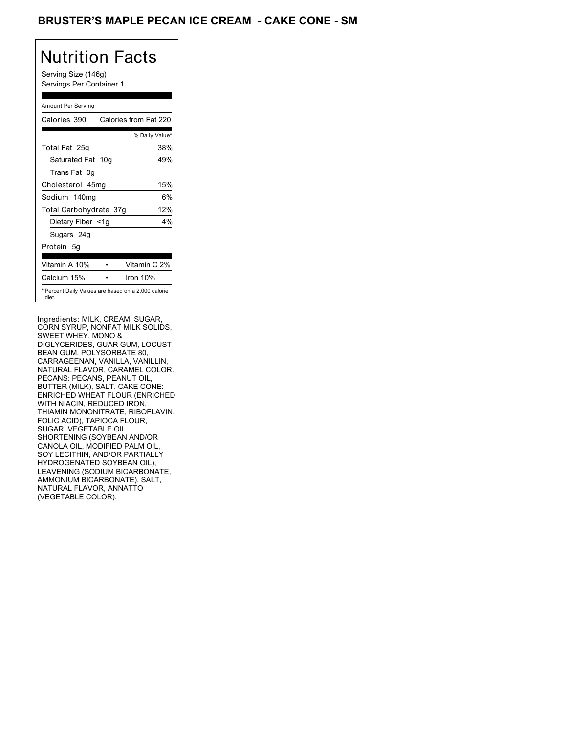### BRUSTER'S MAPLE PECAN ICE CREAM - CAKE CONE - SM

# Nutrition Facts

Serving Size (146g) Servings Per Container 1

#### Amount Per Serving

| Calories 390           | Calories from Fat 220                               |
|------------------------|-----------------------------------------------------|
|                        | % Daily Value*                                      |
| Total Fat 25g          | 38%                                                 |
| Saturated Fat 10g      | 49%                                                 |
| Trans Fat 0q           |                                                     |
| Cholesterol 45mg       | 15%                                                 |
| Sodium 140mg           | 6%                                                  |
| Total Carbohydrate 37g | 12%                                                 |
| Dietary Fiber <1g      | $4\%$                                               |
| Sugars 24g             |                                                     |
| Protein 5g             |                                                     |
| Vitamin A 10%          | Vitamin C 2%                                        |
| Calcium 15%            | Iron $10%$                                          |
| diet.                  | * Percent Daily Values are based on a 2,000 calorie |

Ingredients: MILK, CREAM, SUGAR, CORN SYRUP, NONFAT MILK SOLIDS, SWEET WHEY, MONO & DIGLYCERIDES, GUAR GUM, LOCUST BEAN GUM, POLYSORBATE 80, CARRAGEENAN, VANILLA, VANILLIN, NATURAL FLAVOR, CARAMEL COLOR. PECANS: PECANS, PEANUT OIL, BUTTER (MILK), SALT. CAKE CONE: ENRICHED WHEAT FLOUR (ENRICHED WITH NIACIN, REDUCED IRON, THIAMIN MONONITRATE, RIBOFLAVIN, FOLIC ACID), TAPIOCA FLOUR, SUGAR, VEGETABLE OIL SHORTENING (SOYBEAN AND/OR CANOLA OIL, MODIFIED PALM OIL, SOY LECITHIN, AND/OR PARTIALLY HYDROGENATED SOYBEAN OIL), LEAVENING (SODIUM BICARBONATE, AMMONIUM BICARBONATE), SALT, NATURAL FLAVOR, ANNATTO (VEGETABLE COLOR).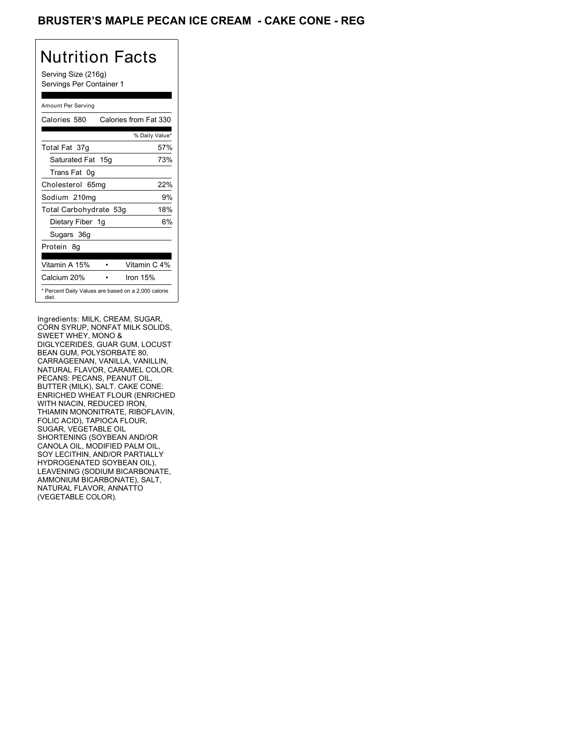### BRUSTER'S MAPLE PECAN ICE CREAM - CAKE CONE - REG

## Nutrition Facts

Serving Size (216g) Servings Per Container 1

#### Amount Per Serving

| Calories 580                                                 | Calories from Fat 330 |
|--------------------------------------------------------------|-----------------------|
|                                                              | % Daily Value*        |
| Total Fat 37g                                                | 57%                   |
| Saturated Fat 15g                                            | 73%                   |
| Trans Fat 0q                                                 |                       |
| Cholesterol 65mg                                             | 22%                   |
| Sodium 210mg                                                 | 9%                    |
| Total Carbohydrate 53g                                       | 18%                   |
| Dietary Fiber 1g                                             | 6%                    |
| Sugars 36g                                                   |                       |
| Protein 8q                                                   |                       |
| Vitamin A 15%                                                | Vitamin C 4%          |
| Calcium 20%                                                  | Iron 15%              |
| * Percent Daily Values are based on a 2,000 calorie<br>diet. |                       |

Ingredients: MILK, CREAM, SUGAR, CORN SYRUP, NONFAT MILK SOLIDS, SWEET WHEY, MONO & DIGLYCERIDES, GUAR GUM, LOCUST BEAN GUM, POLYSORBATE 80, CARRAGEENAN, VANILLA, VANILLIN, NATURAL FLAVOR, CARAMEL COLOR. PECANS: PECANS, PEANUT OIL, BUTTER (MILK), SALT. CAKE CONE: ENRICHED WHEAT FLOUR (ENRICHED WITH NIACIN, REDUCED IRON, THIAMIN MONONITRATE, RIBOFLAVIN, FOLIC ACID), TAPIOCA FLOUR, SUGAR, VEGETABLE OIL SHORTENING (SOYBEAN AND/OR CANOLA OIL, MODIFIED PALM OIL, SOY LECITHIN, AND/OR PARTIALLY HYDROGENATED SOYBEAN OIL), LEAVENING (SODIUM BICARBONATE, AMMONIUM BICARBONATE), SALT, NATURAL FLAVOR, ANNATTO (VEGETABLE COLOR).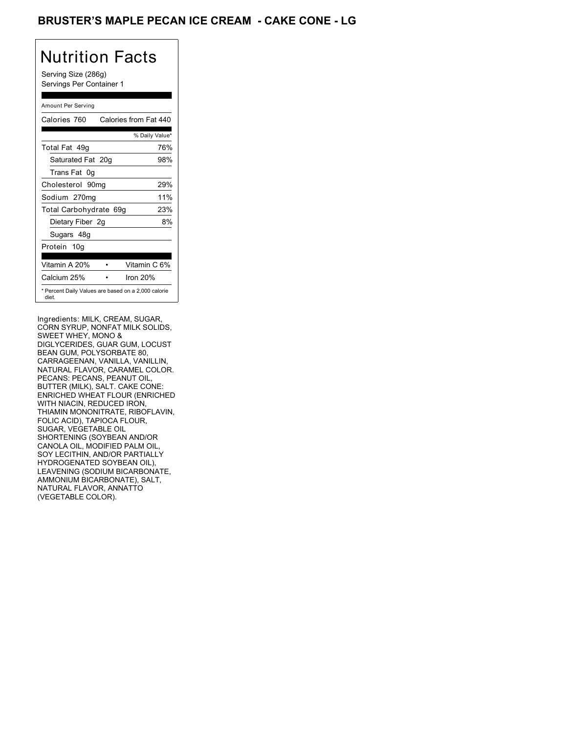### BRUSTER'S MAPLE PECAN ICE CREAM - CAKE CONE - LG

# Nutrition Facts

Serving Size (286g) Servings Per Container 1

#### Amount Per Serving

| Calories 760                                                 | Calories from Fat 440 |
|--------------------------------------------------------------|-----------------------|
|                                                              | % Daily Value*        |
| Total Fat 49q                                                | 76%                   |
| Saturated Fat 20g                                            | 98%                   |
| Trans Fat 0q                                                 |                       |
| Cholesterol 90mg                                             | 29%                   |
| Sodium 270mg                                                 | 11%                   |
| Total Carbohydrate 69g                                       | 23%                   |
| Dietary Fiber 2g                                             | 8%                    |
| Sugars 48g                                                   |                       |
| Protein 10g                                                  |                       |
| Vitamin A 20%                                                | Vitamin C 6%          |
| Calcium 25%                                                  | Iron $20%$            |
| * Percent Daily Values are based on a 2,000 calorie<br>diet. |                       |

Ingredients: MILK, CREAM, SUGAR, CORN SYRUP, NONFAT MILK SOLIDS, SWEET WHEY, MONO & DIGLYCERIDES, GUAR GUM, LOCUST BEAN GUM, POLYSORBATE 80, CARRAGEENAN, VANILLA, VANILLIN, NATURAL FLAVOR, CARAMEL COLOR. PECANS: PECANS, PEANUT OIL, BUTTER (MILK), SALT. CAKE CONE: ENRICHED WHEAT FLOUR (ENRICHED WITH NIACIN, REDUCED IRON, THIAMIN MONONITRATE, RIBOFLAVIN, FOLIC ACID), TAPIOCA FLOUR, SUGAR, VEGETABLE OIL SHORTENING (SOYBEAN AND/OR CANOLA OIL, MODIFIED PALM OIL, SOY LECITHIN, AND/OR PARTIALLY HYDROGENATED SOYBEAN OIL), LEAVENING (SODIUM BICARBONATE, AMMONIUM BICARBONATE), SALT, NATURAL FLAVOR, ANNATTO (VEGETABLE COLOR).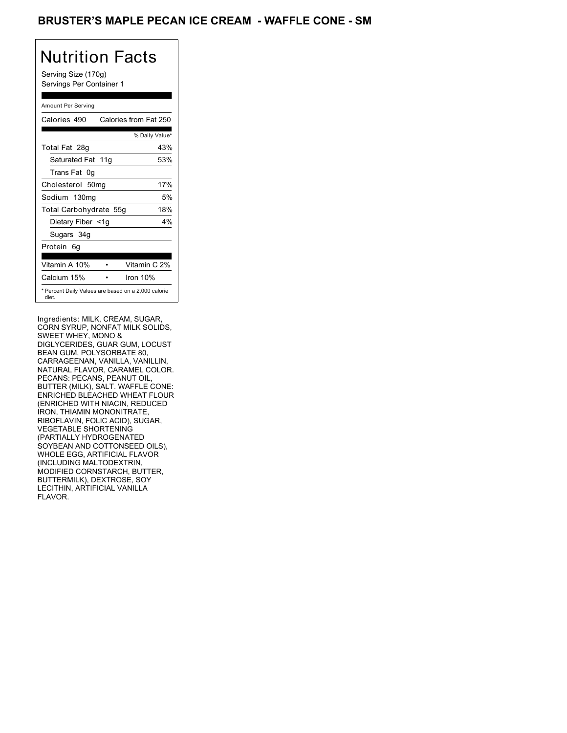### BRUSTER'S MAPLE PECAN ICE CREAM - WAFFLE CONE - SM

# Nutrition Facts

Serving Size (170g) Servings Per Container 1

#### Amount Per Serving

| Calories 490           | Calories from Fat 250                               |
|------------------------|-----------------------------------------------------|
|                        | % Daily Value*                                      |
| Total Fat 28g          | 43%                                                 |
| Saturated Fat 11g      | 53%                                                 |
| Trans Fat 0q           |                                                     |
| Cholesterol 50mg       | 17%                                                 |
| Sodium 130mg           | 5%                                                  |
| Total Carbohydrate 55g | 18%                                                 |
| Dietary Fiber <1g      | $4\%$                                               |
| Sugars 34g             |                                                     |
| Protein 6q             |                                                     |
| Vitamin A 10%          | Vitamin C 2%                                        |
| Calcium 15%            | Iron $10%$                                          |
| diet.                  | * Percent Daily Values are based on a 2,000 calorie |

Ingredients: MILK, CREAM, SUGAR, CORN SYRUP, NONFAT MILK SOLIDS, SWEET WHEY, MONO & DIGLYCERIDES, GUAR GUM, LOCUST BEAN GUM, POLYSORBATE 80, CARRAGEENAN, VANILLA, VANILLIN, NATURAL FLAVOR, CARAMEL COLOR. PECANS: PECANS, PEANUT OIL, BUTTER (MILK), SALT. WAFFLE CONE: ENRICHED BLEACHED WHEAT FLOUR (ENRICHED WITH NIACIN, REDUCED IRON, THIAMIN MONONITRATE, RIBOFLAVIN, FOLIC ACID), SUGAR, VEGETABLE SHORTENING (PARTIALLY HYDROGENATED SOYBEAN AND COTTONSEED OILS), WHOLE EGG, ARTIFICIAL FLAVOR (INCLUDING MALTODEXTRIN, MODIFIED CORNSTARCH, BUTTER, BUTTERMILK), DEXTROSE, SOY LECITHIN, ARTIFICIAL VANILLA FLAVOR.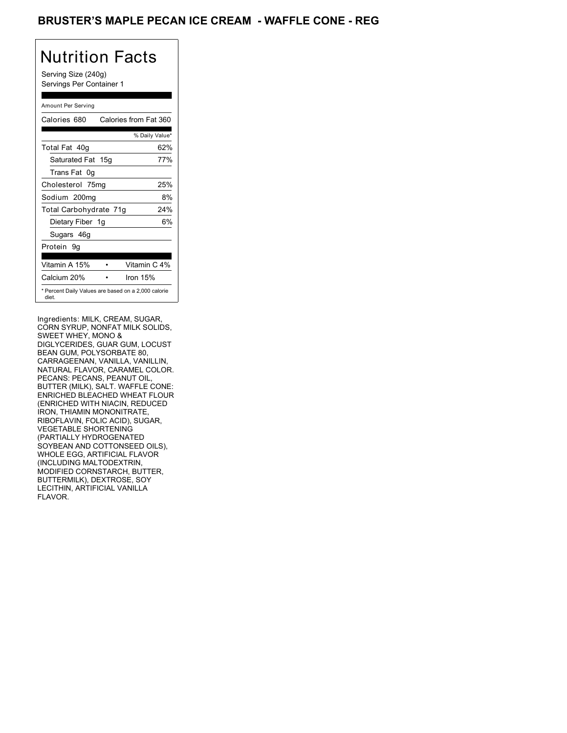### BRUSTER'S MAPLE PECAN ICE CREAM - WAFFLE CONE - REG

# Nutrition Facts

Serving Size (240g) Servings Per Container 1

#### Amount Per Serving

| Calories 680           | Calories from Fat 360                               |
|------------------------|-----------------------------------------------------|
|                        | % Daily Value*                                      |
| Total Fat 40g          | 62%                                                 |
| Saturated Fat 15g      | 77%                                                 |
| Trans Fat 0q           |                                                     |
| Cholesterol 75mg       | 25%                                                 |
| Sodium 200mg           | 8%                                                  |
| Total Carbohydrate 71g | 24%                                                 |
| Dietary Fiber 1g       | 6%                                                  |
| Sugars 46g             |                                                     |
| Protein 9q             |                                                     |
| Vitamin A 15%          | Vitamin C 4%                                        |
| Calcium 20%            | Iron $15%$                                          |
| diet.                  | * Percent Daily Values are based on a 2,000 calorie |

Ingredients: MILK, CREAM, SUGAR, CORN SYRUP, NONFAT MILK SOLIDS, SWEET WHEY, MONO & DIGLYCERIDES, GUAR GUM, LOCUST BEAN GUM, POLYSORBATE 80, CARRAGEENAN, VANILLA, VANILLIN, NATURAL FLAVOR, CARAMEL COLOR. PECANS: PECANS, PEANUT OIL, BUTTER (MILK), SALT. WAFFLE CONE: ENRICHED BLEACHED WHEAT FLOUR (ENRICHED WITH NIACIN, REDUCED IRON, THIAMIN MONONITRATE, RIBOFLAVIN, FOLIC ACID), SUGAR, VEGETABLE SHORTENING (PARTIALLY HYDROGENATED SOYBEAN AND COTTONSEED OILS), WHOLE EGG, ARTIFICIAL FLAVOR (INCLUDING MALTODEXTRIN, MODIFIED CORNSTARCH, BUTTER, BUTTERMILK), DEXTROSE, SOY LECITHIN, ARTIFICIAL VANILLA FLAVOR.